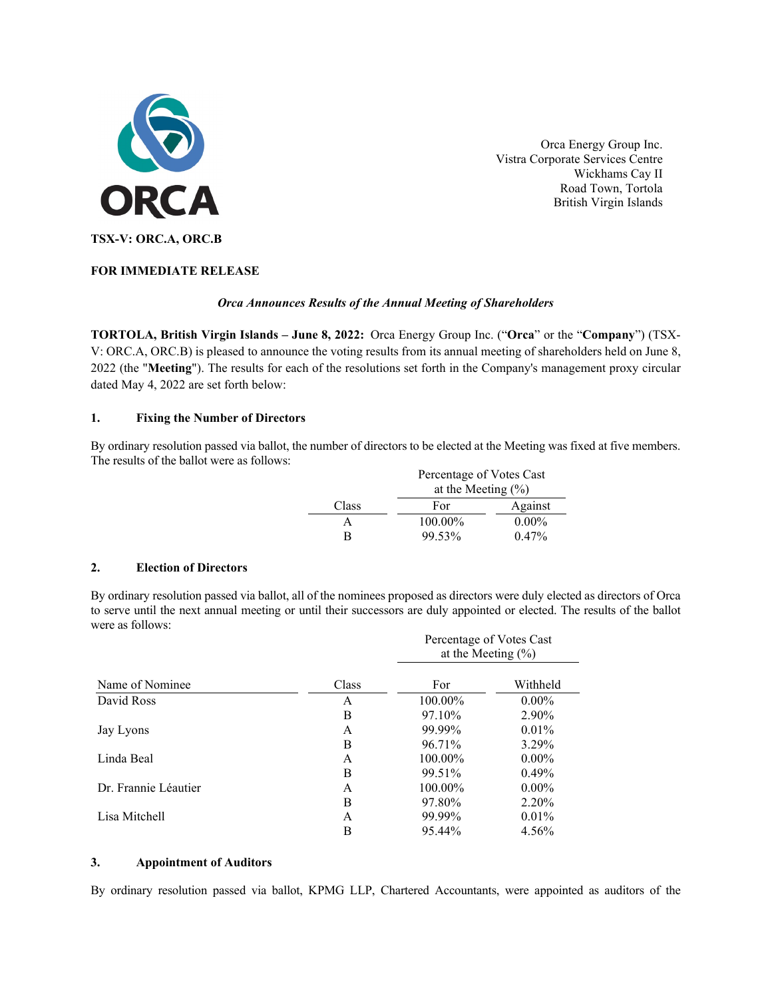

Orca Energy Group Inc. Vistra Corporate Services Centre Wickhams Cay II Road Town, Tortola British Virgin Islands

# **FOR IMMEDIATE RELEASE**

## *Orca Announces Results of the Annual Meeting of Shareholders*

**TORTOLA, British Virgin Islands – June 8, 2022:** Orca Energy Group Inc. ("**Orca**" or the "**Company**") (TSX-V: ORC.A, ORC.B) is pleased to announce the voting results from its annual meeting of shareholders held on June 8, 2022 (the "**Meeting**"). The results for each of the resolutions set forth in the Company's management proxy circular dated May 4, 2022 are set forth below:

## **1. Fixing the Number of Directors**

By ordinary resolution passed via ballot, the number of directors to be elected at the Meeting was fixed at five members. The results of the ballot were as follows:

|       | Percentage of Votes Cast<br>at the Meeting $(\% )$ |          |  |
|-------|----------------------------------------------------|----------|--|
|       |                                                    |          |  |
| Class | For                                                | Against  |  |
|       | 100.00%                                            | $0.00\%$ |  |
| R     | 99.53%                                             | $0.47\%$ |  |

#### **2. Election of Directors**

By ordinary resolution passed via ballot, all of the nominees proposed as directors were duly elected as directors of Orca to serve until the next annual meeting or until their successors are duly appointed or elected. The results of the ballot were as follows:

|                      |       | Percentage of Votes Cast<br>at the Meeting $(\% )$ |          |
|----------------------|-------|----------------------------------------------------|----------|
| Name of Nominee      | Class | For                                                | Withheld |
| David Ross           | A     | 100.00%                                            | $0.00\%$ |
|                      | B     | 97.10%                                             | 2.90%    |
| Jay Lyons            | A     | 99.99%                                             | $0.01\%$ |
|                      | B     | 96.71%                                             | 3.29%    |
| Linda Beal           | A     | $100.00\%$                                         | $0.00\%$ |
|                      | B     | 99.51%                                             | $0.49\%$ |
| Dr. Frannie Léautier | A     | $100.00\%$                                         | $0.00\%$ |
|                      | B     | 97.80%                                             | 2.20%    |
| Lisa Mitchell        | A     | 99.99%                                             | 0.01%    |
|                      | В     | 95.44%                                             | 4.56%    |

## **3. Appointment of Auditors**

By ordinary resolution passed via ballot, KPMG LLP, Chartered Accountants, were appointed as auditors of the